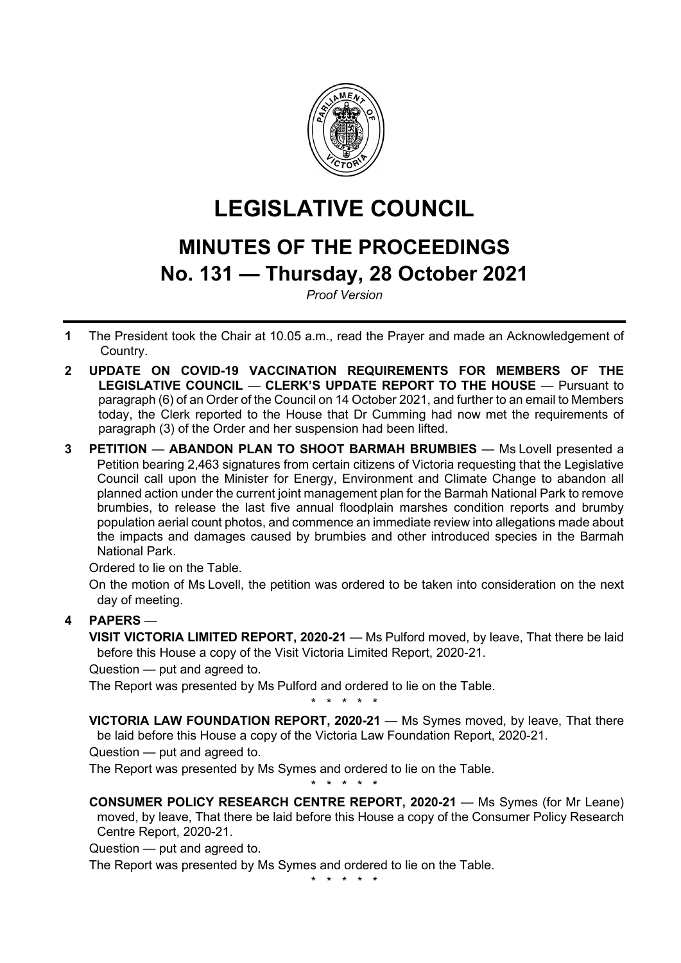

# **LEGISLATIVE COUNCIL**

## **MINUTES OF THE PROCEEDINGS No. 131 — Thursday, 28 October 2021**

*Proof Version*

- **1** The President took the Chair at 10.05 a.m., read the Prayer and made an Acknowledgement of Country.
- **2 UPDATE ON COVID-19 VACCINATION REQUIREMENTS FOR MEMBERS OF THE LEGISLATIVE COUNCIL** — **CLERK'S UPDATE REPORT TO THE HOUSE** — Pursuant to paragraph (6) of an Order of the Council on 14 October 2021, and further to an email to Members today, the Clerk reported to the House that Dr Cumming had now met the requirements of paragraph (3) of the Order and her suspension had been lifted.
- **3 PETITION ABANDON PLAN TO SHOOT BARMAH BRUMBIES** Ms Lovell presented a Petition bearing 2,463 signatures from certain citizens of Victoria requesting that the Legislative Council call upon the Minister for Energy, Environment and Climate Change to abandon all planned action under the current joint management plan for the Barmah National Park to remove brumbies, to release the last five annual floodplain marshes condition reports and brumby population aerial count photos, and commence an immediate review into allegations made about the impacts and damages caused by brumbies and other introduced species in the Barmah National Park.

Ordered to lie on the Table.

On the motion of Ms Lovell, the petition was ordered to be taken into consideration on the next day of meeting.

## **4 PAPERS** —

**VISIT VICTORIA LIMITED REPORT, 2020-21** — Ms Pulford moved, by leave, That there be laid before this House a copy of the Visit Victoria Limited Report, 2020-21.

Question — put and agreed to.

The Report was presented by Ms Pulford and ordered to lie on the Table.

\* \* \* \* \*

**VICTORIA LAW FOUNDATION REPORT, 2020-21** — Ms Symes moved, by leave, That there be laid before this House a copy of the Victoria Law Foundation Report, 2020-21.

Question — put and agreed to.

The Report was presented by Ms Symes and ordered to lie on the Table.

\* \* \* \* \* **CONSUMER POLICY RESEARCH CENTRE REPORT, 2020-21** — Ms Symes (for Mr Leane) moved, by leave, That there be laid before this House a copy of the Consumer Policy Research Centre Report, 2020-21.

Question — put and agreed to.

The Report was presented by Ms Symes and ordered to lie on the Table.

\* \* \* \* \*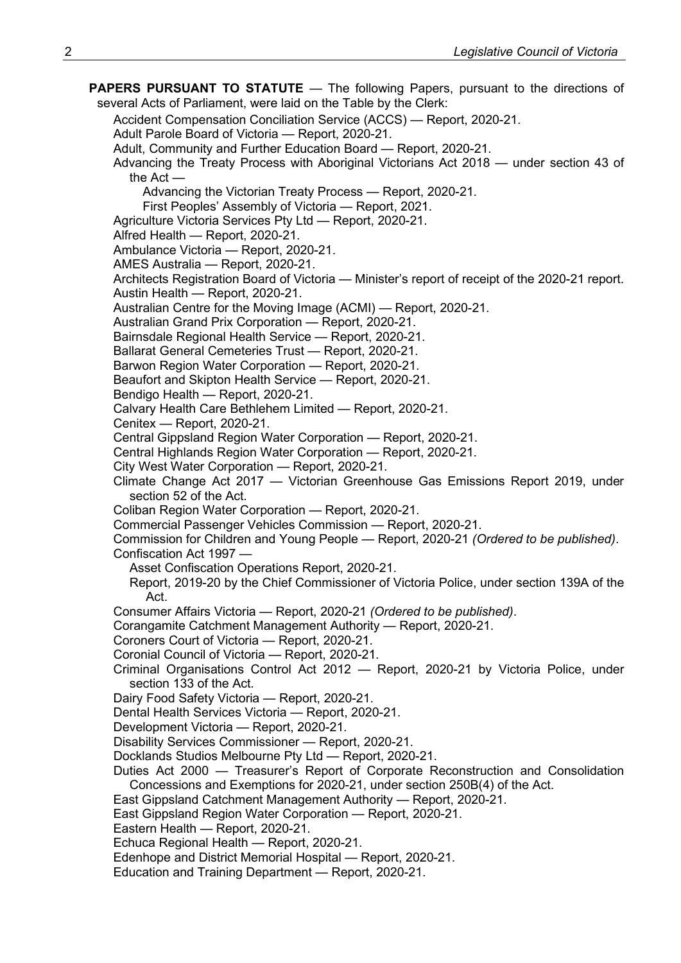**PAPERS PURSUANT TO STATUTE** — The following Papers, pursuant to the directions of several Acts of Parliament, were laid on the Table by the Clerk:

Accident Compensation Conciliation Service (ACCS) — Report, 2020-21.

Adult Parole Board of Victoria — Report, 2020-21.

Adult, Community and Further Education Board — Report, 2020-21.

Advancing the Treaty Process with Aboriginal Victorians Act 2018 — under section 43 of the Act —

Advancing the Victorian Treaty Process — Report, 2020-21.

First Peoples' Assembly of Victoria — Report, 2021.

Agriculture Victoria Services Pty Ltd — Report, 2020-21.

Alfred Health — Report, 2020-21.

Ambulance Victoria — Report, 2020-21.

AMES Australia — Report, 2020-21.

Architects Registration Board of Victoria — Minister's report of receipt of the 2020-21 report. Austin Health — Report, 2020-21.

Australian Centre for the Moving Image (ACMI) — Report, 2020-21.

Australian Grand Prix Corporation — Report, 2020-21.

Bairnsdale Regional Health Service — Report, 2020-21.

Ballarat General Cemeteries Trust — Report, 2020-21.

Barwon Region Water Corporation — Report, 2020-21.

Beaufort and Skipton Health Service — Report, 2020-21.

Bendigo Health — Report, 2020-21.

Calvary Health Care Bethlehem Limited — Report, 2020-21.

Cenitex — Report, 2020-21.

Central Gippsland Region Water Corporation — Report, 2020-21.

Central Highlands Region Water Corporation — Report, 2020-21.

City West Water Corporation — Report, 2020-21.

Climate Change Act 2017 — Victorian Greenhouse Gas Emissions Report 2019, under section 52 of the Act.

Coliban Region Water Corporation — Report, 2020-21.

Commercial Passenger Vehicles Commission — Report, 2020-21.

Commission for Children and Young People — Report, 2020-21 *(Ordered to be published)*. Confiscation Act 1997 —

- Asset Confiscation Operations Report, 2020-21.
- Report, 2019-20 by the Chief Commissioner of Victoria Police, under section 139A of the Act.

Consumer Affairs Victoria — Report, 2020-21 *(Ordered to be published)*.

Corangamite Catchment Management Authority — Report, 2020-21.

Coroners Court of Victoria — Report, 2020-21.

Coronial Council of Victoria — Report, 2020-21.

Criminal Organisations Control Act 2012 — Report, 2020-21 by Victoria Police, under section 133 of the Act.

Dairy Food Safety Victoria — Report, 2020-21.

Dental Health Services Victoria — Report, 2020-21.

Development Victoria — Report, 2020-21.

Disability Services Commissioner — Report, 2020-21.

Docklands Studios Melbourne Pty Ltd — Report, 2020-21.

Duties Act 2000 — Treasurer's Report of Corporate Reconstruction and Consolidation Concessions and Exemptions for 2020-21, under section 250B(4) of the Act.

East Gippsland Catchment Management Authority — Report, 2020-21.

East Gippsland Region Water Corporation — Report, 2020-21.

Eastern Health — Report, 2020-21.

Echuca Regional Health — Report, 2020-21.

Edenhope and District Memorial Hospital — Report, 2020-21.

Education and Training Department — Report, 2020-21.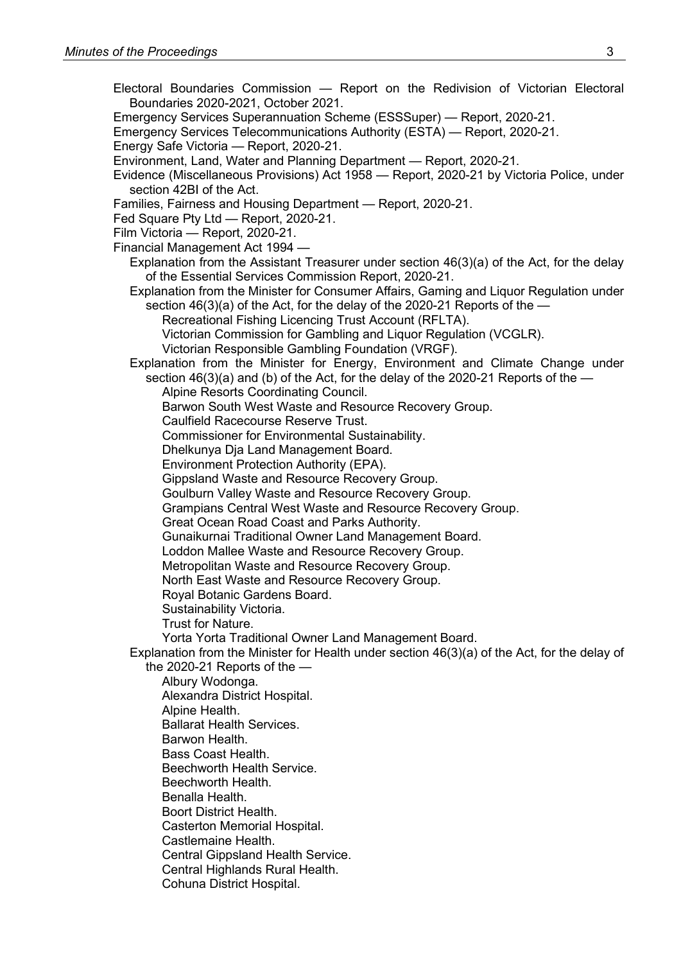- Electoral Boundaries Commission Report on the Redivision of Victorian Electoral Boundaries 2020-2021, October 2021.
- Emergency Services Superannuation Scheme (ESSSuper) Report, 2020-21.
- Emergency Services Telecommunications Authority (ESTA) Report, 2020-21.
- Energy Safe Victoria Report, 2020-21.
- Environment, Land, Water and Planning Department Report, 2020-21.
- Evidence (Miscellaneous Provisions) Act 1958 Report, 2020-21 by Victoria Police, under section 42BI of the Act.
- Families, Fairness and Housing Department Report, 2020-21.
- Fed Square Pty Ltd Report, 2020-21.
- Film Victoria Report, 2020-21.
- Financial Management Act 1994
	- Explanation from the Assistant Treasurer under section 46(3)(a) of the Act, for the delay of the Essential Services Commission Report, 2020-21.
	- Explanation from the Minister for Consumer Affairs, Gaming and Liquor Regulation under section 46(3)(a) of the Act, for the delay of the 2020-21 Reports of the —
		- Recreational Fishing Licencing Trust Account (RFLTA).
		- Victorian Commission for Gambling and Liquor Regulation (VCGLR).
		- Victorian Responsible Gambling Foundation (VRGF).
	- Explanation from the Minister for Energy, Environment and Climate Change under section  $46(3)(a)$  and (b) of the Act, for the delay of the 2020-21 Reports of the  $-$ 
		- Alpine Resorts Coordinating Council.
		- Barwon South West Waste and Resource Recovery Group.
		- Caulfield Racecourse Reserve Trust.
		- Commissioner for Environmental Sustainability.
		- Dhelkunya Dja Land Management Board.
		- Environment Protection Authority (EPA).
		- Gippsland Waste and Resource Recovery Group.
		- Goulburn Valley Waste and Resource Recovery Group.
		- Grampians Central West Waste and Resource Recovery Group.
		- Great Ocean Road Coast and Parks Authority.
		- Gunaikurnai Traditional Owner Land Management Board.
		- Loddon Mallee Waste and Resource Recovery Group.
		- Metropolitan Waste and Resource Recovery Group.
		- North East Waste and Resource Recovery Group.
		- Royal Botanic Gardens Board.
		- Sustainability Victoria.
		- Trust for Nature.
		- Yorta Yorta Traditional Owner Land Management Board.
	- Explanation from the Minister for Health under section 46(3)(a) of the Act, for the delay of the 2020-21 Reports of the —

Albury Wodonga. Alexandra District Hospital. Alpine Health. Ballarat Health Services. Barwon Health. Bass Coast Health. Beechworth Health Service. Beechworth Health. Benalla Health. Boort District Health. Casterton Memorial Hospital. Castlemaine Health. Central Gippsland Health Service. Central Highlands Rural Health. Cohuna District Hospital.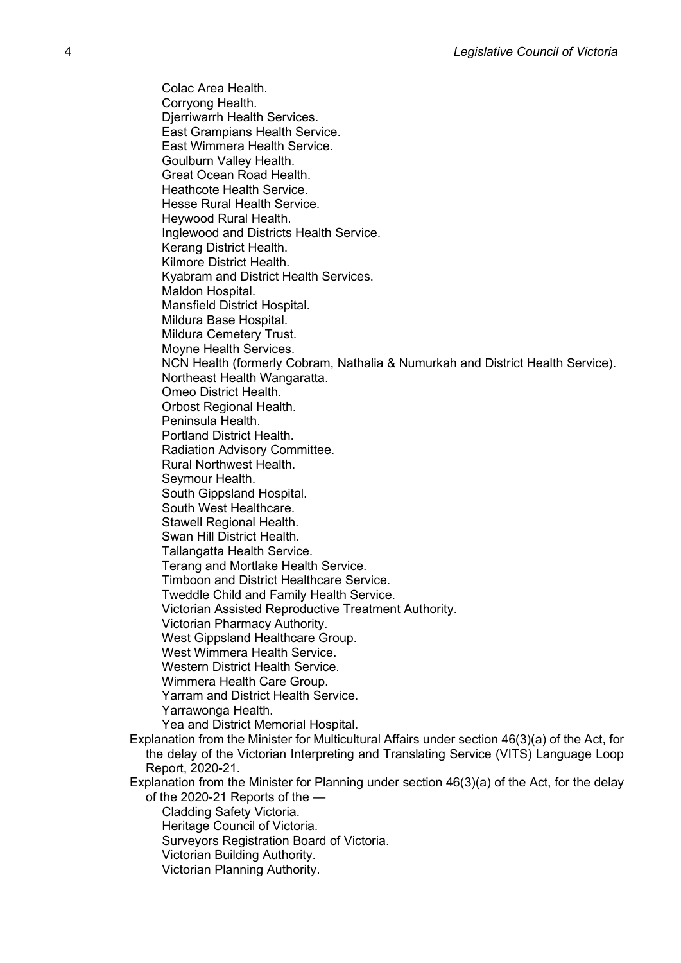Colac Area Health. Corryong Health. Djerriwarrh Health Services. East Grampians Health Service. East Wimmera Health Service. Goulburn Valley Health. Great Ocean Road Health. Heathcote Health Service. Hesse Rural Health Service. Heywood Rural Health. Inglewood and Districts Health Service. Kerang District Health. Kilmore District Health. Kyabram and District Health Services. Maldon Hospital. Mansfield District Hospital. Mildura Base Hospital. Mildura Cemetery Trust. Moyne Health Services. NCN Health (formerly Cobram, Nathalia & Numurkah and District Health Service). Northeast Health Wangaratta. Omeo District Health. Orbost Regional Health. Peninsula Health. Portland District Health. Radiation Advisory Committee. Rural Northwest Health. Seymour Health. South Gippsland Hospital. South West Healthcare. Stawell Regional Health. Swan Hill District Health. Tallangatta Health Service. Terang and Mortlake Health Service. Timboon and District Healthcare Service. Tweddle Child and Family Health Service. Victorian Assisted Reproductive Treatment Authority. Victorian Pharmacy Authority. West Gippsland Healthcare Group. West Wimmera Health Service. Western District Health Service. Wimmera Health Care Group. Yarram and District Health Service. Yarrawonga Health. Yea and District Memorial Hospital. Explanation from the Minister for Multicultural Affairs under section 46(3)(a) of the Act, for the delay of the Victorian Interpreting and Translating Service (VITS) Language Loop Report, 2020-21. Explanation from the Minister for Planning under section 46(3)(a) of the Act, for the delay of the 2020-21 Reports of the — Cladding Safety Victoria. Heritage Council of Victoria. Surveyors Registration Board of Victoria. Victorian Building Authority.

Victorian Planning Authority.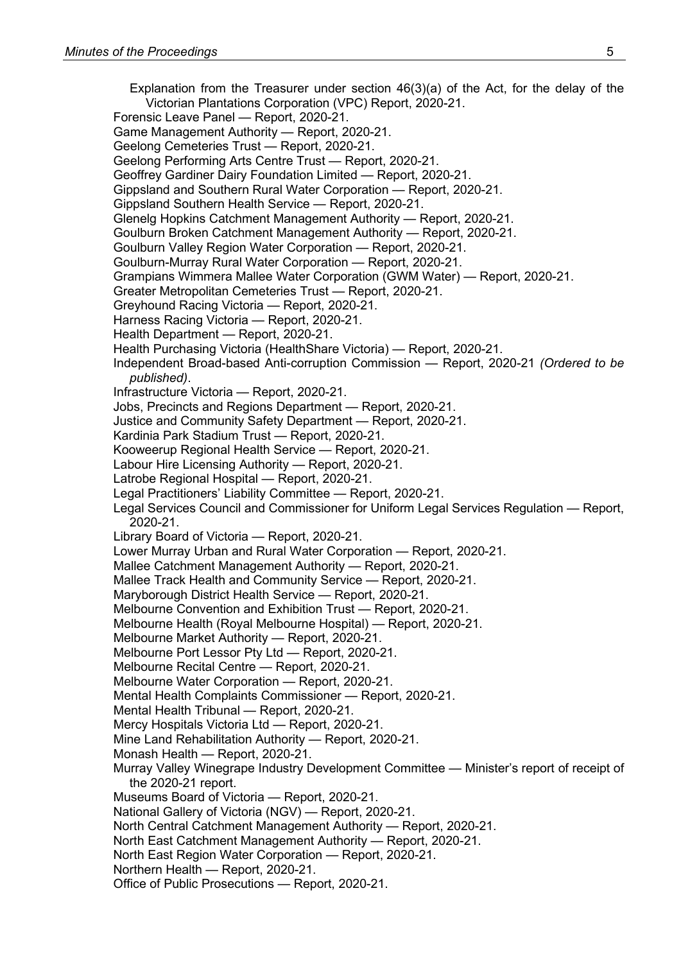Explanation from the Treasurer under section 46(3)(a) of the Act, for the delay of the Victorian Plantations Corporation (VPC) Report, 2020-21. Forensic Leave Panel — Report, 2020-21. Game Management Authority — Report, 2020-21. Geelong Cemeteries Trust — Report, 2020-21. Geelong Performing Arts Centre Trust — Report, 2020-21. Geoffrey Gardiner Dairy Foundation Limited — Report, 2020-21. Gippsland and Southern Rural Water Corporation — Report, 2020-21. Gippsland Southern Health Service — Report, 2020-21. Glenelg Hopkins Catchment Management Authority — Report, 2020-21. Goulburn Broken Catchment Management Authority — Report, 2020-21. Goulburn Valley Region Water Corporation — Report, 2020-21. Goulburn-Murray Rural Water Corporation — Report, 2020-21. Grampians Wimmera Mallee Water Corporation (GWM Water) — Report, 2020-21. Greater Metropolitan Cemeteries Trust — Report, 2020-21. Greyhound Racing Victoria — Report, 2020-21. Harness Racing Victoria — Report, 2020-21. Health Department — Report, 2020-21. Health Purchasing Victoria (HealthShare Victoria) — Report, 2020-21. Independent Broad-based Anti-corruption Commission — Report, 2020-21 *(Ordered to be published)*. Infrastructure Victoria — Report, 2020-21. Jobs, Precincts and Regions Department — Report, 2020-21. Justice and Community Safety Department — Report, 2020-21. Kardinia Park Stadium Trust — Report, 2020-21. Kooweerup Regional Health Service — Report, 2020-21. Labour Hire Licensing Authority — Report, 2020-21. Latrobe Regional Hospital — Report, 2020-21. Legal Practitioners' Liability Committee — Report, 2020-21. Legal Services Council and Commissioner for Uniform Legal Services Regulation — Report, 2020-21. Library Board of Victoria — Report, 2020-21. Lower Murray Urban and Rural Water Corporation — Report, 2020-21. Mallee Catchment Management Authority — Report, 2020-21. Mallee Track Health and Community Service — Report, 2020-21. Maryborough District Health Service — Report, 2020-21. Melbourne Convention and Exhibition Trust — Report, 2020-21. Melbourne Health (Royal Melbourne Hospital) — Report, 2020-21. Melbourne Market Authority — Report, 2020-21. Melbourne Port Lessor Pty Ltd — Report, 2020-21. Melbourne Recital Centre — Report, 2020-21. Melbourne Water Corporation — Report, 2020-21. Mental Health Complaints Commissioner — Report, 2020-21. Mental Health Tribunal — Report, 2020-21. Mercy Hospitals Victoria Ltd — Report, 2020-21. Mine Land Rehabilitation Authority — Report, 2020-21. Monash Health — Report, 2020-21. Murray Valley Winegrape Industry Development Committee — Minister's report of receipt of the 2020-21 report. Museums Board of Victoria — Report, 2020-21. National Gallery of Victoria (NGV) — Report, 2020-21. North Central Catchment Management Authority — Report, 2020-21. North East Catchment Management Authority — Report, 2020-21. North East Region Water Corporation — Report, 2020-21. Northern Health — Report, 2020-21. Office of Public Prosecutions — Report, 2020-21.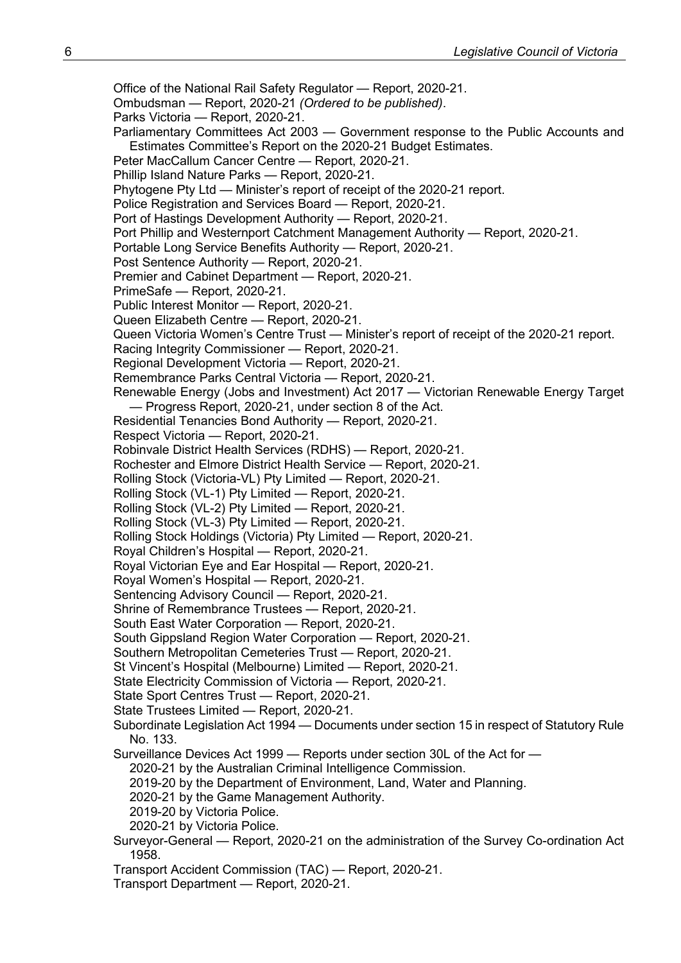Office of the National Rail Safety Regulator — Report, 2020-21. Ombudsman — Report, 2020-21 *(Ordered to be published)*. Parks Victoria — Report, 2020-21. Parliamentary Committees Act 2003 — Government response to the Public Accounts and Estimates Committee's Report on the 2020-21 Budget Estimates. Peter MacCallum Cancer Centre — Report, 2020-21. Phillip Island Nature Parks — Report, 2020-21. Phytogene Pty Ltd — Minister's report of receipt of the 2020-21 report. Police Registration and Services Board — Report, 2020-21. Port of Hastings Development Authority — Report, 2020-21. Port Phillip and Westernport Catchment Management Authority — Report, 2020-21. Portable Long Service Benefits Authority — Report, 2020-21. Post Sentence Authority — Report, 2020-21. Premier and Cabinet Department — Report, 2020-21. PrimeSafe — Report, 2020-21. Public Interest Monitor — Report, 2020-21. Queen Elizabeth Centre — Report, 2020-21. Queen Victoria Women's Centre Trust — Minister's report of receipt of the 2020-21 report. Racing Integrity Commissioner — Report, 2020-21. Regional Development Victoria — Report, 2020-21. Remembrance Parks Central Victoria — Report, 2020-21. Renewable Energy (Jobs and Investment) Act 2017 — Victorian Renewable Energy Target — Progress Report, 2020-21, under section 8 of the Act. Residential Tenancies Bond Authority — Report, 2020-21. Respect Victoria — Report, 2020-21. Robinvale District Health Services (RDHS) — Report, 2020-21. Rochester and Elmore District Health Service — Report, 2020-21. Rolling Stock (Victoria-VL) Pty Limited — Report, 2020-21. Rolling Stock (VL-1) Pty Limited — Report, 2020-21. Rolling Stock (VL-2) Pty Limited — Report, 2020-21. Rolling Stock (VL-3) Pty Limited — Report, 2020-21. Rolling Stock Holdings (Victoria) Pty Limited — Report, 2020-21. Royal Children's Hospital — Report, 2020-21. Royal Victorian Eye and Ear Hospital — Report, 2020-21. Royal Women's Hospital — Report, 2020-21. Sentencing Advisory Council — Report, 2020-21. Shrine of Remembrance Trustees — Report, 2020-21. South East Water Corporation — Report, 2020-21. South Gippsland Region Water Corporation — Report, 2020-21. Southern Metropolitan Cemeteries Trust — Report, 2020-21. St Vincent's Hospital (Melbourne) Limited — Report, 2020-21. State Electricity Commission of Victoria — Report, 2020-21. State Sport Centres Trust — Report, 2020-21. State Trustees Limited — Report, 2020-21. Subordinate Legislation Act 1994 — Documents under section 15 in respect of Statutory Rule No. 133. Surveillance Devices Act 1999 — Reports under section 30L of the Act for — 2020-21 by the Australian Criminal Intelligence Commission. 2019-20 by the Department of Environment, Land, Water and Planning. 2020-21 by the Game Management Authority. 2019-20 by Victoria Police. 2020-21 by Victoria Police. Surveyor-General — Report, 2020-21 on the administration of the Survey Co-ordination Act 1958. Transport Accident Commission (TAC) — Report, 2020-21. Transport Department — Report, 2020-21.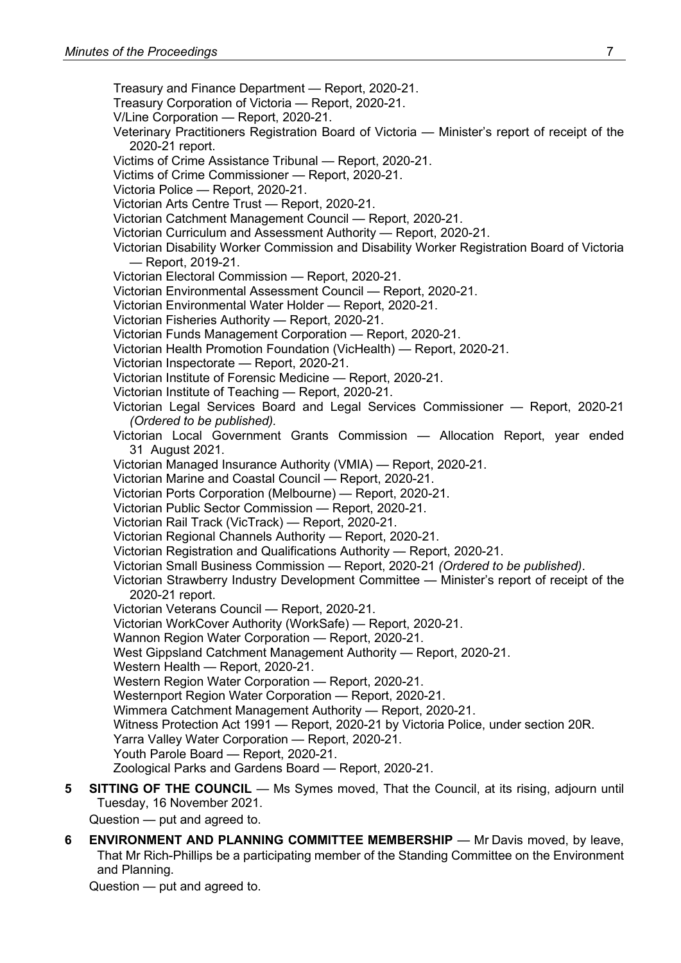Treasury and Finance Department — Report, 2020-21. Treasury Corporation of Victoria — Report, 2020-21. V/Line Corporation — Report, 2020-21. Veterinary Practitioners Registration Board of Victoria — Minister's report of receipt of the 2020-21 report. Victims of Crime Assistance Tribunal — Report, 2020-21. Victims of Crime Commissioner — Report, 2020-21. Victoria Police — Report, 2020-21. Victorian Arts Centre Trust — Report, 2020-21. Victorian Catchment Management Council — Report, 2020-21. Victorian Curriculum and Assessment Authority — Report, 2020-21. Victorian Disability Worker Commission and Disability Worker Registration Board of Victoria — Report, 2019-21. Victorian Electoral Commission — Report, 2020-21. Victorian Environmental Assessment Council — Report, 2020-21. Victorian Environmental Water Holder — Report, 2020-21. Victorian Fisheries Authority — Report, 2020-21. Victorian Funds Management Corporation — Report, 2020-21. Victorian Health Promotion Foundation (VicHealth) — Report, 2020-21. Victorian Inspectorate — Report, 2020-21. Victorian Institute of Forensic Medicine — Report, 2020-21. Victorian Institute of Teaching — Report, 2020-21. Victorian Legal Services Board and Legal Services Commissioner — Report, 2020-21 *(Ordered to be published).* Victorian Local Government Grants Commission — Allocation Report, year ended 31 August 2021. Victorian Managed Insurance Authority (VMIA) — Report, 2020-21. Victorian Marine and Coastal Council — Report, 2020-21. Victorian Ports Corporation (Melbourne) — Report, 2020-21. Victorian Public Sector Commission — Report, 2020-21. Victorian Rail Track (VicTrack) — Report, 2020-21. Victorian Regional Channels Authority — Report, 2020-21. Victorian Registration and Qualifications Authority — Report, 2020-21. Victorian Small Business Commission — Report, 2020-21 *(Ordered to be published)*. Victorian Strawberry Industry Development Committee — Minister's report of receipt of the 2020-21 report. Victorian Veterans Council — Report, 2020-21. Victorian WorkCover Authority (WorkSafe) — Report, 2020-21. Wannon Region Water Corporation — Report, 2020-21. West Gippsland Catchment Management Authority — Report, 2020-21. Western Health — Report, 2020-21. Western Region Water Corporation — Report, 2020-21. Westernport Region Water Corporation — Report, 2020-21. Wimmera Catchment Management Authority — Report, 2020-21. Witness Protection Act 1991 — Report, 2020-21 by Victoria Police, under section 20R. Yarra Valley Water Corporation — Report, 2020-21. Youth Parole Board — Report, 2020-21. Zoological Parks and Gardens Board — Report, 2020-21.

**5 SITTING OF THE COUNCIL** — Ms Symes moved, That the Council, at its rising, adjourn until Tuesday, 16 November 2021.

Question — put and agreed to.

**6 ENVIRONMENT AND PLANNING COMMITTEE MEMBERSHIP** — Mr Davis moved, by leave, That Mr Rich-Phillips be a participating member of the Standing Committee on the Environment and Planning.

Question — put and agreed to.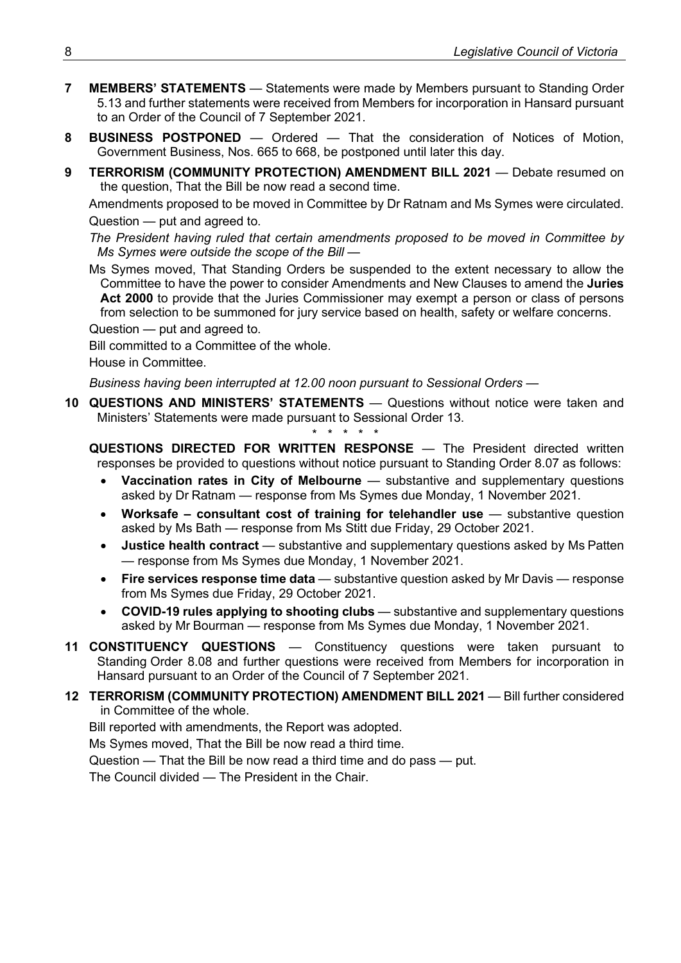- **7 MEMBERS' STATEMENTS** Statements were made by Members pursuant to Standing Order 5.13 and further statements were received from Members for incorporation in Hansard pursuant to an Order of the Council of 7 September 2021.
- **8 BUSINESS POSTPONED** Ordered That the consideration of Notices of Motion, Government Business, Nos. 665 to 668, be postponed until later this day.
- **9 TERRORISM (COMMUNITY PROTECTION) AMENDMENT BILL 2021** Debate resumed on the question, That the Bill be now read a second time.

Amendments proposed to be moved in Committee by Dr Ratnam and Ms Symes were circulated. Question — put and agreed to.

*The President having ruled that certain amendments proposed to be moved in Committee by Ms Symes were outside the scope of the Bill —*

Ms Symes moved, That Standing Orders be suspended to the extent necessary to allow the Committee to have the power to consider Amendments and New Clauses to amend the **Juries Act 2000** to provide that the Juries Commissioner may exempt a person or class of persons from selection to be summoned for jury service based on health, safety or welfare concerns.

Question — put and agreed to.

Bill committed to a Committee of the whole.

House in Committee.

*Business having been interrupted at 12.00 noon pursuant to Sessional Orders —*

**10 QUESTIONS AND MINISTERS' STATEMENTS** — Questions without notice were taken and Ministers' Statements were made pursuant to Sessional Order 13.

*\* \* \* \* \**

**QUESTIONS DIRECTED FOR WRITTEN RESPONSE** — The President directed written responses be provided to questions without notice pursuant to Standing Order 8.07 as follows:

- **Vaccination rates in City of Melbourne** substantive and supplementary questions asked by Dr Ratnam — response from Ms Symes due Monday, 1 November 2021.
- Worksafe consultant cost of training for telehandler use substantive question asked by Ms Bath — response from Ms Stitt due Friday, 29 October 2021.
- **Justice health contract** substantive and supplementary questions asked by Ms Patten — response from Ms Symes due Monday, 1 November 2021.
- **Fire services response time data** substantive question asked by Mr Davis response from Ms Symes due Friday, 29 October 2021.
- **COVID-19 rules applying to shooting clubs** substantive and supplementary questions asked by Mr Bourman — response from Ms Symes due Monday, 1 November 2021.
- **11 CONSTITUENCY QUESTIONS** Constituency questions were taken pursuant to Standing Order 8.08 and further questions were received from Members for incorporation in Hansard pursuant to an Order of the Council of 7 September 2021.

## **12 TERRORISM (COMMUNITY PROTECTION) AMENDMENT BILL 2021** — Bill further considered in Committee of the whole.

Bill reported with amendments, the Report was adopted.

Ms Symes moved, That the Bill be now read a third time.

Question — That the Bill be now read a third time and do pass — put.

The Council divided — The President in the Chair.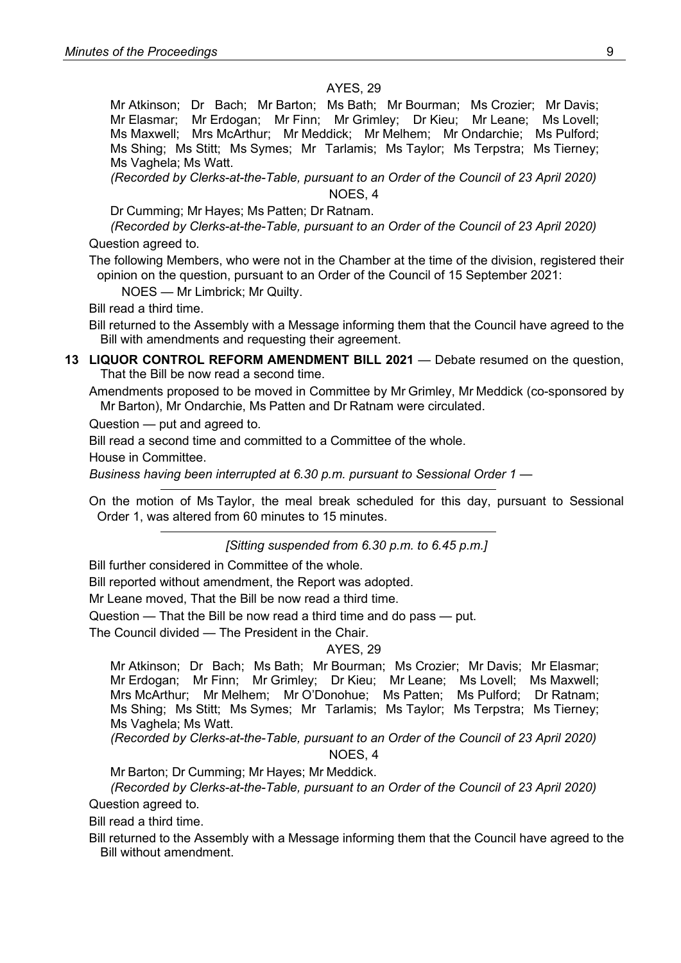#### AYES, 29

Mr Atkinson; Dr Bach; Mr Barton; Ms Bath; Mr Bourman; Ms Crozier; Mr Davis; Mr Elasmar; Mr Erdogan; Mr Finn; Mr Grimley; Dr Kieu; Mr Leane; Ms Lovell; Ms Maxwell; Mrs McArthur; Mr Meddick; Mr Melhem; Mr Ondarchie; Ms Pulford; Ms Shing; Ms Stitt; Ms Symes; Mr Tarlamis; Ms Taylor; Ms Terpstra; Ms Tierney; Ms Vaghela; Ms Watt.

*(Recorded by Clerks-at-the-Table, pursuant to an Order of the Council of 23 April 2020)* NOES, 4

Dr Cumming; Mr Hayes; Ms Patten; Dr Ratnam.

*(Recorded by Clerks-at-the-Table, pursuant to an Order of the Council of 23 April 2020)*

Question agreed to.

The following Members, who were not in the Chamber at the time of the division, registered their opinion on the question, pursuant to an Order of the Council of 15 September 2021:

NOES — Mr Limbrick; Mr Quilty.

Bill read a third time.

Bill returned to the Assembly with a Message informing them that the Council have agreed to the Bill with amendments and requesting their agreement.

**13 LIQUOR CONTROL REFORM AMENDMENT BILL 2021** — Debate resumed on the question, That the Bill be now read a second time.

Amendments proposed to be moved in Committee by Mr Grimley, Mr Meddick (co-sponsored by Mr Barton), Mr Ondarchie, Ms Patten and Dr Ratnam were circulated.

Question — put and agreed to.

Bill read a second time and committed to a Committee of the whole.

House in Committee.

*Business having been interrupted at 6.30 p.m. pursuant to Sessional Order 1 —*

On the motion of Ms Taylor, the meal break scheduled for this day, pursuant to Sessional Order 1, was altered from 60 minutes to 15 minutes.

*[Sitting suspended from 6.30 p.m. to 6.45 p.m.]*

Bill further considered in Committee of the whole.

Bill reported without amendment, the Report was adopted.

Mr Leane moved, That the Bill be now read a third time.

Question — That the Bill be now read a third time and do pass — put.

The Council divided — The President in the Chair.

#### AYES, 29

Mr Atkinson; Dr Bach; Ms Bath; Mr Bourman; Ms Crozier; Mr Davis; Mr Elasmar; Mr Erdogan; Mr Finn; Mr Grimley; Dr Kieu; Mr Leane; Ms Lovell; Ms Maxwell; Mrs McArthur; Mr Melhem; Mr O'Donohue; Ms Patten; Ms Pulford; Dr Ratnam; Ms Shing; Ms Stitt; Ms Symes; Mr Tarlamis; Ms Taylor; Ms Terpstra; Ms Tierney; Ms Vaghela; Ms Watt.

*(Recorded by Clerks-at-the-Table, pursuant to an Order of the Council of 23 April 2020)*

#### NOES, 4

Mr Barton; Dr Cumming; Mr Hayes; Mr Meddick.

*(Recorded by Clerks-at-the-Table, pursuant to an Order of the Council of 23 April 2020)* Question agreed to.

Bill read a third time.

Bill returned to the Assembly with a Message informing them that the Council have agreed to the Bill without amendment.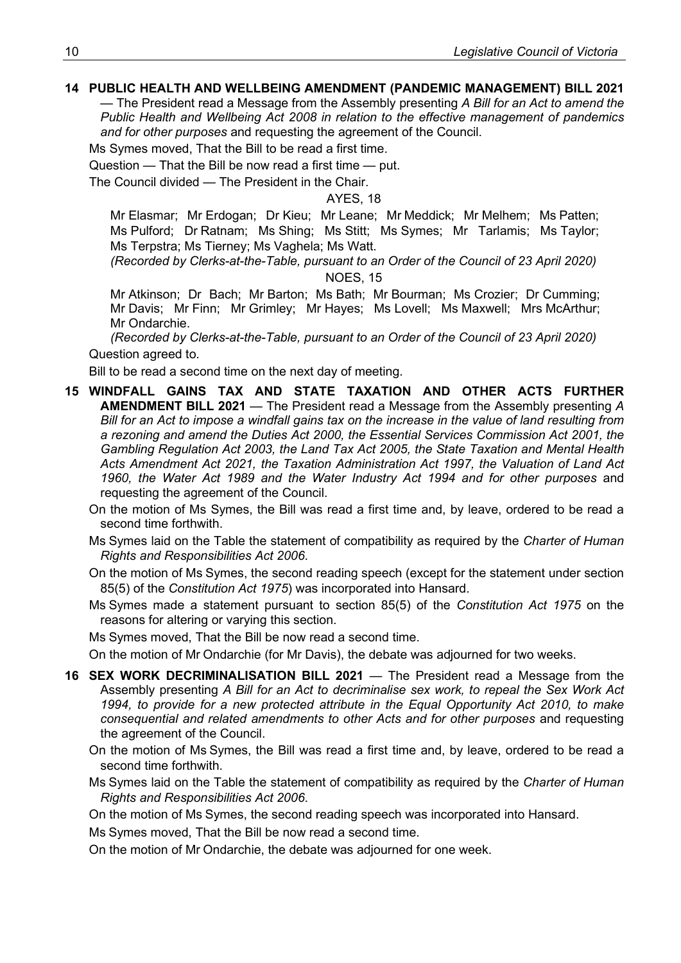### **14 PUBLIC HEALTH AND WELLBEING AMENDMENT (PANDEMIC MANAGEMENT) BILL 2021**

— The President read a Message from the Assembly presenting *A Bill for an Act to amend the Public Health and Wellbeing Act 2008 in relation to the effective management of pandemics and for other purposes* and requesting the agreement of the Council.

Ms Symes moved, That the Bill to be read a first time.

Question — That the Bill be now read a first time — put.

The Council divided — The President in the Chair.

AYES, 18

Mr Elasmar; Mr Erdogan; Dr Kieu; Mr Leane; Mr Meddick; Mr Melhem; Ms Patten; Ms Pulford; Dr Ratnam; Ms Shing; Ms Stitt; Ms Symes; Mr Tarlamis; Ms Taylor; Ms Terpstra; Ms Tierney; Ms Vaghela; Ms Watt.

*(Recorded by Clerks-at-the-Table, pursuant to an Order of the Council of 23 April 2020)*

NOES, 15

Mr Atkinson; Dr Bach; Mr Barton; Ms Bath; Mr Bourman; Ms Crozier; Dr Cumming; Mr Davis; Mr Finn; Mr Grimley; Mr Hayes; Ms Lovell; Ms Maxwell; Mrs McArthur; Mr Ondarchie.

*(Recorded by Clerks-at-the-Table, pursuant to an Order of the Council of 23 April 2020)* Question agreed to.

Bill to be read a second time on the next day of meeting.

**15 WINDFALL GAINS TAX AND STATE TAXATION AND OTHER ACTS FURTHER AMENDMENT BILL 2021** — The President read a Message from the Assembly presenting *A Bill for an Act to impose a windfall gains tax on the increase in the value of land resulting from a rezoning and amend the Duties Act 2000, the Essential Services Commission Act 2001, the Gambling Regulation Act 2003, the Land Tax Act 2005, the State Taxation and Mental Health Acts Amendment Act 2021, the Taxation Administration Act 1997, the Valuation of Land Act 1960, the Water Act 1989 and the Water Industry Act 1994 and for other purposes* and requesting the agreement of the Council.

On the motion of Ms Symes, the Bill was read a first time and, by leave, ordered to be read a second time forthwith.

- Ms Symes laid on the Table the statement of compatibility as required by the *Charter of Human Rights and Responsibilities Act 2006*.
- On the motion of Ms Symes, the second reading speech (except for the statement under section 85(5) of the *Constitution Act 1975*) was incorporated into Hansard.
- Ms Symes made a statement pursuant to section 85(5) of the *Constitution Act 1975* on the reasons for altering or varying this section.

Ms Symes moved, That the Bill be now read a second time.

On the motion of Mr Ondarchie (for Mr Davis), the debate was adjourned for two weeks.

- **16 SEX WORK DECRIMINALISATION BILL 2021** The President read a Message from the Assembly presenting *A Bill for an Act to decriminalise sex work, to repeal the Sex Work Act 1994, to provide for a new protected attribute in the Equal Opportunity Act 2010, to make consequential and related amendments to other Acts and for other purposes* and requesting the agreement of the Council.
	- On the motion of Ms Symes, the Bill was read a first time and, by leave, ordered to be read a second time forthwith.
	- Ms Symes laid on the Table the statement of compatibility as required by the *Charter of Human Rights and Responsibilities Act 2006*.

On the motion of Ms Symes, the second reading speech was incorporated into Hansard.

Ms Symes moved, That the Bill be now read a second time.

On the motion of Mr Ondarchie, the debate was adjourned for one week.